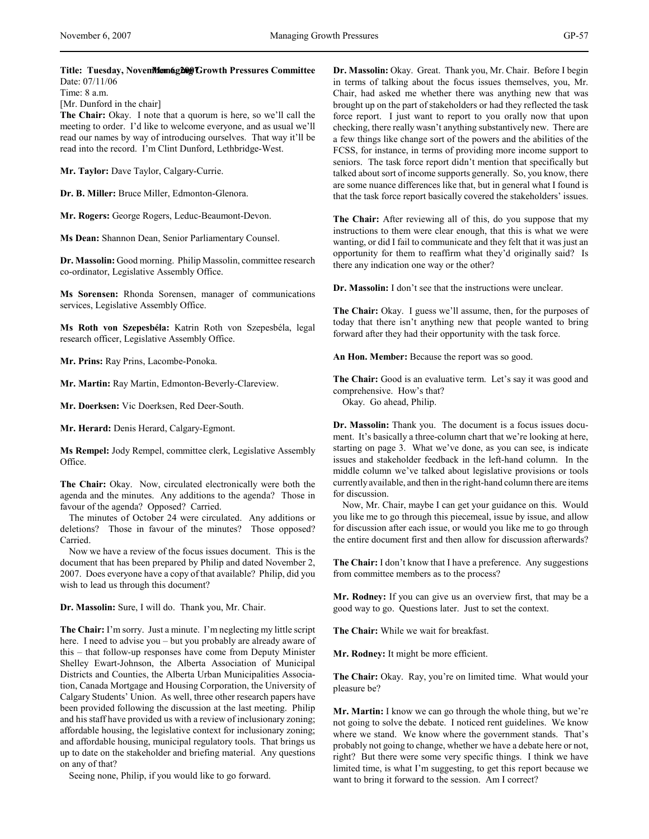[Mr. Dunford in the chair]

**The Chair:** Okay. I note that a quorum is here, so we'll call the meeting to order. I'd like to welcome everyone, and as usual we'll read our names by way of introducing ourselves. That way it'll be read into the record. I'm Clint Dunford, Lethbridge-West.

**Mr. Taylor:** Dave Taylor, Calgary-Currie.

**Dr. B. Miller:** Bruce Miller, Edmonton-Glenora.

**Mr. Rogers:** George Rogers, Leduc-Beaumont-Devon.

**Ms Dean:** Shannon Dean, Senior Parliamentary Counsel.

**Dr. Massolin:** Good morning. Philip Massolin, committee research co-ordinator, Legislative Assembly Office.

**Ms Sorensen:** Rhonda Sorensen, manager of communications services, Legislative Assembly Office.

**Ms Roth von Szepesbéla:** Katrin Roth von Szepesbéla, legal research officer, Legislative Assembly Office.

**Mr. Prins:** Ray Prins, Lacombe-Ponoka.

**Mr. Martin:** Ray Martin, Edmonton-Beverly-Clareview.

**Mr. Doerksen:** Vic Doerksen, Red Deer-South.

**Mr. Herard:** Denis Herard, Calgary-Egmont.

**Ms Rempel:** Jody Rempel, committee clerk, Legislative Assembly Office.

**The Chair:** Okay. Now, circulated electronically were both the agenda and the minutes. Any additions to the agenda? Those in favour of the agenda? Opposed? Carried.

The minutes of October 24 were circulated. Any additions or deletions? Those in favour of the minutes? Those opposed? Carried.

Now we have a review of the focus issues document. This is the document that has been prepared by Philip and dated November 2, 2007. Does everyone have a copy of that available? Philip, did you wish to lead us through this document?

**Dr. Massolin:** Sure, I will do. Thank you, Mr. Chair.

**The Chair:** I'm sorry. Just a minute. I'm neglecting my little script here. I need to advise you – but you probably are already aware of this – that follow-up responses have come from Deputy Minister Shelley Ewart-Johnson, the Alberta Association of Municipal Districts and Counties, the Alberta Urban Municipalities Association, Canada Mortgage and Housing Corporation, the University of Calgary Students' Union. As well, three other research papers have been provided following the discussion at the last meeting. Philip and his staff have provided us with a review of inclusionary zoning; affordable housing, the legislative context for inclusionary zoning; and affordable housing, municipal regulatory tools. That brings us up to date on the stakeholder and briefing material. Any questions on any of that?

Seeing none, Philip, if you would like to go forward.

**Dr. Massolin:** Okay. Great. Thank you, Mr. Chair. Before I begin in terms of talking about the focus issues themselves, you, Mr. Chair, had asked me whether there was anything new that was brought up on the part of stakeholders or had they reflected the task force report. I just want to report to you orally now that upon checking, there really wasn't anything substantively new. There are a few things like change sort of the powers and the abilities of the FCSS, for instance, in terms of providing more income support to seniors. The task force report didn't mention that specifically but talked about sort of income supports generally. So, you know, there are some nuance differences like that, but in general what I found is that the task force report basically covered the stakeholders' issues.

**The Chair:** After reviewing all of this, do you suppose that my instructions to them were clear enough, that this is what we were wanting, or did I fail to communicate and they felt that it was just an opportunity for them to reaffirm what they'd originally said? Is there any indication one way or the other?

**Dr. Massolin:** I don't see that the instructions were unclear.

**The Chair:** Okay. I guess we'll assume, then, for the purposes of today that there isn't anything new that people wanted to bring forward after they had their opportunity with the task force.

**An Hon. Member:** Because the report was so good.

**The Chair:** Good is an evaluative term. Let's say it was good and comprehensive. How's that? Okay. Go ahead, Philip.

**Dr. Massolin:** Thank you. The document is a focus issues document. It's basically a three-column chart that we're looking at here, starting on page 3. What we've done, as you can see, is indicate issues and stakeholder feedback in the left-hand column. In the middle column we've talked about legislative provisions or tools currently available, and then in the right-hand column there are items for discussion.

Now, Mr. Chair, maybe I can get your guidance on this. Would you like me to go through this piecemeal, issue by issue, and allow for discussion after each issue, or would you like me to go through the entire document first and then allow for discussion afterwards?

**The Chair:** I don't know that I have a preference. Any suggestions from committee members as to the process?

**Mr. Rodney:** If you can give us an overview first, that may be a good way to go. Questions later. Just to set the context.

**The Chair:** While we wait for breakfast.

**Mr. Rodney:** It might be more efficient.

**The Chair:** Okay. Ray, you're on limited time. What would your pleasure be?

**Mr. Martin:** I know we can go through the whole thing, but we're not going to solve the debate. I noticed rent guidelines. We know where we stand. We know where the government stands. That's probably not going to change, whether we have a debate here or not, right? But there were some very specific things. I think we have limited time, is what I'm suggesting, to get this report because we want to bring it forward to the session. Am I correct?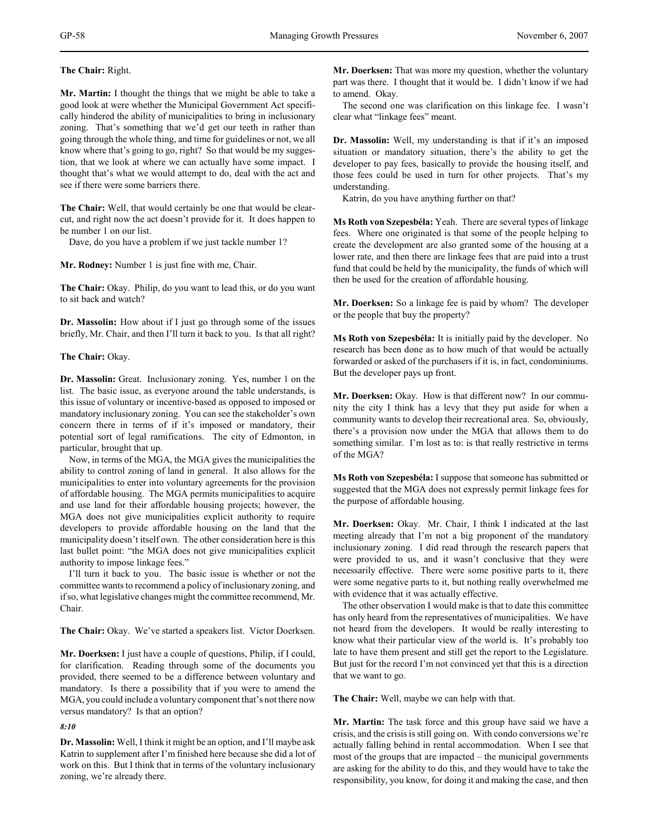**The Chair:** Right.

**Mr. Martin:** I thought the things that we might be able to take a good look at were whether the Municipal Government Act specifically hindered the ability of municipalities to bring in inclusionary zoning. That's something that we'd get our teeth in rather than going through the whole thing, and time for guidelines or not, we all know where that's going to go, right? So that would be my suggestion, that we look at where we can actually have some impact. I thought that's what we would attempt to do, deal with the act and see if there were some barriers there.

**The Chair:** Well, that would certainly be one that would be clearcut, and right now the act doesn't provide for it. It does happen to be number 1 on our list.

Dave, do you have a problem if we just tackle number 1?

**Mr. Rodney:** Number 1 is just fine with me, Chair.

**The Chair:** Okay. Philip, do you want to lead this, or do you want to sit back and watch?

**Dr. Massolin:** How about if I just go through some of the issues briefly, Mr. Chair, and then I'll turn it back to you. Is that all right?

# **The Chair:** Okay.

**Dr. Massolin:** Great. Inclusionary zoning. Yes, number 1 on the list. The basic issue, as everyone around the table understands, is this issue of voluntary or incentive-based as opposed to imposed or mandatory inclusionary zoning. You can see the stakeholder's own concern there in terms of if it's imposed or mandatory, their potential sort of legal ramifications. The city of Edmonton, in particular, brought that up.

Now, in terms of the MGA, the MGA gives the municipalities the ability to control zoning of land in general. It also allows for the municipalities to enter into voluntary agreements for the provision of affordable housing. The MGA permits municipalities to acquire and use land for their affordable housing projects; however, the MGA does not give municipalities explicit authority to require developers to provide affordable housing on the land that the municipality doesn't itself own. The other consideration here is this last bullet point: "the MGA does not give municipalities explicit authority to impose linkage fees."

I'll turn it back to you. The basic issue is whether or not the committee wants to recommend a policy of inclusionary zoning, and if so, what legislative changes might the committee recommend, Mr. Chair.

**The Chair:** Okay. We've started a speakers list. Victor Doerksen.

**Mr. Doerksen:** I just have a couple of questions, Philip, if I could, for clarification. Reading through some of the documents you provided, there seemed to be a difference between voluntary and mandatory. Is there a possibility that if you were to amend the MGA, you could include a voluntary component that's not there now versus mandatory? Is that an option?

*8:10*

**Dr. Massolin:** Well, I think it might be an option, and I'll maybe ask Katrin to supplement after I'm finished here because she did a lot of work on this. But I think that in terms of the voluntary inclusionary zoning, we're already there.

**Mr. Doerksen:** That was more my question, whether the voluntary part was there. I thought that it would be. I didn't know if we had to amend. Okay.

The second one was clarification on this linkage fee. I wasn't clear what "linkage fees" meant.

**Dr. Massolin:** Well, my understanding is that if it's an imposed situation or mandatory situation, there's the ability to get the developer to pay fees, basically to provide the housing itself, and those fees could be used in turn for other projects. That's my understanding.

Katrin, do you have anything further on that?

**Ms Roth von Szepesbéla:** Yeah. There are several types of linkage fees. Where one originated is that some of the people helping to create the development are also granted some of the housing at a lower rate, and then there are linkage fees that are paid into a trust fund that could be held by the municipality, the funds of which will then be used for the creation of affordable housing.

**Mr. Doerksen:** So a linkage fee is paid by whom? The developer or the people that buy the property?

**Ms Roth von Szepesbéla:** It is initially paid by the developer. No research has been done as to how much of that would be actually forwarded or asked of the purchasers if it is, in fact, condominiums. But the developer pays up front.

**Mr. Doerksen:** Okay. How is that different now? In our community the city I think has a levy that they put aside for when a community wants to develop their recreational area. So, obviously, there's a provision now under the MGA that allows them to do something similar. I'm lost as to: is that really restrictive in terms of the MGA?

**Ms Roth von Szepesbéla:** I suppose that someone has submitted or suggested that the MGA does not expressly permit linkage fees for the purpose of affordable housing.

**Mr. Doerksen:** Okay. Mr. Chair, I think I indicated at the last meeting already that I'm not a big proponent of the mandatory inclusionary zoning. I did read through the research papers that were provided to us, and it wasn't conclusive that they were necessarily effective. There were some positive parts to it, there were some negative parts to it, but nothing really overwhelmed me with evidence that it was actually effective.

The other observation I would make is that to date this committee has only heard from the representatives of municipalities. We have not heard from the developers. It would be really interesting to know what their particular view of the world is. It's probably too late to have them present and still get the report to the Legislature. But just for the record I'm not convinced yet that this is a direction that we want to go.

**The Chair:** Well, maybe we can help with that.

**Mr. Martin:** The task force and this group have said we have a crisis, and the crisis is still going on. With condo conversions we're actually falling behind in rental accommodation. When I see that most of the groups that are impacted – the municipal governments are asking for the ability to do this, and they would have to take the responsibility, you know, for doing it and making the case, and then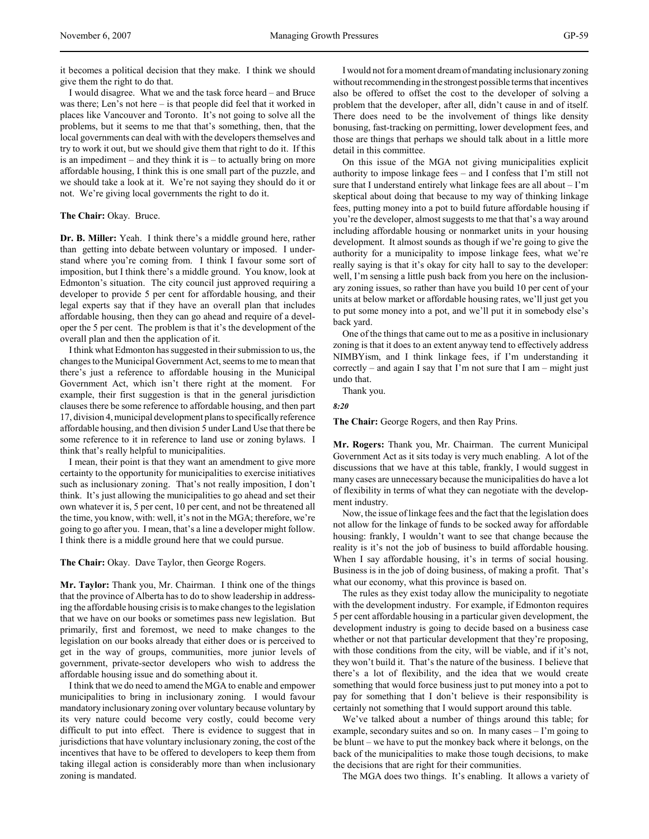it becomes a political decision that they make. I think we should give them the right to do that.

I would disagree. What we and the task force heard – and Bruce was there; Len's not here – is that people did feel that it worked in places like Vancouver and Toronto. It's not going to solve all the problems, but it seems to me that that's something, then, that the local governments can deal with with the developers themselves and try to work it out, but we should give them that right to do it. If this is an impediment – and they think it is  $-$  to actually bring on more affordable housing, I think this is one small part of the puzzle, and we should take a look at it. We're not saying they should do it or not. We're giving local governments the right to do it.

**The Chair:** Okay. Bruce.

**Dr. B. Miller:** Yeah. I think there's a middle ground here, rather than getting into debate between voluntary or imposed. I understand where you're coming from. I think I favour some sort of imposition, but I think there's a middle ground. You know, look at Edmonton's situation. The city council just approved requiring a developer to provide 5 per cent for affordable housing, and their legal experts say that if they have an overall plan that includes affordable housing, then they can go ahead and require of a developer the 5 per cent. The problem is that it's the development of the overall plan and then the application of it.

I think what Edmonton has suggested in their submission to us, the changes to the Municipal Government Act, seems to me to mean that there's just a reference to affordable housing in the Municipal Government Act, which isn't there right at the moment. For example, their first suggestion is that in the general jurisdiction clauses there be some reference to affordable housing, and then part 17, division 4, municipal development plans to specifically reference affordable housing, and then division 5 under Land Use that there be some reference to it in reference to land use or zoning bylaws. I think that's really helpful to municipalities.

I mean, their point is that they want an amendment to give more certainty to the opportunity for municipalities to exercise initiatives such as inclusionary zoning. That's not really imposition, I don't think. It's just allowing the municipalities to go ahead and set their own whatever it is, 5 per cent, 10 per cent, and not be threatened all the time, you know, with: well, it's not in the MGA; therefore, we're going to go after you. I mean, that's a line a developer might follow. I think there is a middle ground here that we could pursue.

**The Chair:** Okay. Dave Taylor, then George Rogers.

**Mr. Taylor:** Thank you, Mr. Chairman. I think one of the things that the province of Alberta has to do to show leadership in addressing the affordable housing crisis is to make changes to the legislation that we have on our books or sometimes pass new legislation. But primarily, first and foremost, we need to make changes to the legislation on our books already that either does or is perceived to get in the way of groups, communities, more junior levels of government, private-sector developers who wish to address the affordable housing issue and do something about it.

I think that we do need to amend the MGA to enable and empower municipalities to bring in inclusionary zoning. I would favour mandatory inclusionary zoning over voluntary because voluntary by its very nature could become very costly, could become very difficult to put into effect. There is evidence to suggest that in jurisdictions that have voluntary inclusionary zoning, the cost of the incentives that have to be offered to developers to keep them from taking illegal action is considerably more than when inclusionary zoning is mandated.

I would not for a moment dream of mandating inclusionary zoning without recommending in the strongest possible terms that incentives also be offered to offset the cost to the developer of solving a problem that the developer, after all, didn't cause in and of itself. There does need to be the involvement of things like density bonusing, fast-tracking on permitting, lower development fees, and those are things that perhaps we should talk about in a little more detail in this committee.

On this issue of the MGA not giving municipalities explicit authority to impose linkage fees – and I confess that I'm still not sure that I understand entirely what linkage fees are all about – I'm skeptical about doing that because to my way of thinking linkage fees, putting money into a pot to build future affordable housing if you're the developer, almost suggests to me that that's a way around including affordable housing or nonmarket units in your housing development. It almost sounds as though if we're going to give the authority for a municipality to impose linkage fees, what we're really saying is that it's okay for city hall to say to the developer: well, I'm sensing a little push back from you here on the inclusionary zoning issues, so rather than have you build 10 per cent of your units at below market or affordable housing rates, we'll just get you to put some money into a pot, and we'll put it in somebody else's back yard.

One of the things that came out to me as a positive in inclusionary zoning is that it does to an extent anyway tend to effectively address NIMBYism, and I think linkage fees, if I'm understanding it correctly – and again I say that I'm not sure that I am – might just undo that.

Thank you.

*8:20*

**The Chair:** George Rogers, and then Ray Prins.

**Mr. Rogers:** Thank you, Mr. Chairman. The current Municipal Government Act as it sits today is very much enabling. A lot of the discussions that we have at this table, frankly, I would suggest in many cases are unnecessary because the municipalities do have a lot of flexibility in terms of what they can negotiate with the development industry.

Now, the issue of linkage fees and the fact that the legislation does not allow for the linkage of funds to be socked away for affordable housing: frankly, I wouldn't want to see that change because the reality is it's not the job of business to build affordable housing. When I say affordable housing, it's in terms of social housing. Business is in the job of doing business, of making a profit. That's what our economy, what this province is based on.

The rules as they exist today allow the municipality to negotiate with the development industry. For example, if Edmonton requires 5 per cent affordable housing in a particular given development, the development industry is going to decide based on a business case whether or not that particular development that they're proposing, with those conditions from the city, will be viable, and if it's not, they won't build it. That's the nature of the business. I believe that there's a lot of flexibility, and the idea that we would create something that would force business just to put money into a pot to pay for something that I don't believe is their responsibility is certainly not something that I would support around this table.

We've talked about a number of things around this table; for example, secondary suites and so on. In many cases – I'm going to be blunt – we have to put the monkey back where it belongs, on the back of the municipalities to make those tough decisions, to make the decisions that are right for their communities.

The MGA does two things. It's enabling. It allows a variety of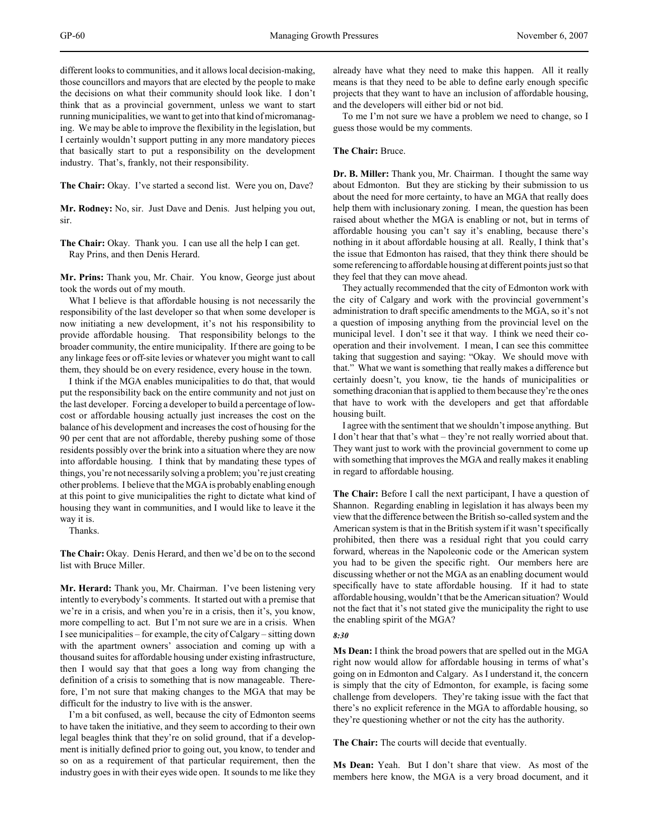different looks to communities, and it allows local decision-making, those councillors and mayors that are elected by the people to make the decisions on what their community should look like. I don't think that as a provincial government, unless we want to start running municipalities, we want to get into that kind of micromanaging. We may be able to improve the flexibility in the legislation, but I certainly wouldn't support putting in any more mandatory pieces that basically start to put a responsibility on the development industry. That's, frankly, not their responsibility.

**The Chair:** Okay. I've started a second list. Were you on, Dave?

**Mr. Rodney:** No, sir. Just Dave and Denis. Just helping you out, sir.

**The Chair:** Okay. Thank you. I can use all the help I can get. Ray Prins, and then Denis Herard.

**Mr. Prins:** Thank you, Mr. Chair. You know, George just about took the words out of my mouth.

What I believe is that affordable housing is not necessarily the responsibility of the last developer so that when some developer is now initiating a new development, it's not his responsibility to provide affordable housing. That responsibility belongs to the broader community, the entire municipality. If there are going to be any linkage fees or off-site levies or whatever you might want to call them, they should be on every residence, every house in the town.

I think if the MGA enables municipalities to do that, that would put the responsibility back on the entire community and not just on the last developer. Forcing a developer to build a percentage of lowcost or affordable housing actually just increases the cost on the balance of his development and increases the cost of housing for the 90 per cent that are not affordable, thereby pushing some of those residents possibly over the brink into a situation where they are now into affordable housing. I think that by mandating these types of things, you're not necessarily solving a problem; you're just creating other problems. I believe that the MGA is probably enabling enough at this point to give municipalities the right to dictate what kind of housing they want in communities, and I would like to leave it the way it is.

Thanks.

**The Chair:** Okay. Denis Herard, and then we'd be on to the second list with Bruce Miller.

**Mr. Herard:** Thank you, Mr. Chairman. I've been listening very intently to everybody's comments. It started out with a premise that we're in a crisis, and when you're in a crisis, then it's, you know, more compelling to act. But I'm not sure we are in a crisis. When I see municipalities – for example, the city of Calgary – sitting down with the apartment owners' association and coming up with a thousand suites for affordable housing under existing infrastructure, then I would say that that goes a long way from changing the definition of a crisis to something that is now manageable. Therefore, I'm not sure that making changes to the MGA that may be difficult for the industry to live with is the answer.

I'm a bit confused, as well, because the city of Edmonton seems to have taken the initiative, and they seem to according to their own legal beagles think that they're on solid ground, that if a development is initially defined prior to going out, you know, to tender and so on as a requirement of that particular requirement, then the industry goes in with their eyes wide open. It sounds to me like they

already have what they need to make this happen. All it really means is that they need to be able to define early enough specific projects that they want to have an inclusion of affordable housing, and the developers will either bid or not bid.

To me I'm not sure we have a problem we need to change, so I guess those would be my comments.

### **The Chair:** Bruce.

**Dr. B. Miller:** Thank you, Mr. Chairman. I thought the same way about Edmonton. But they are sticking by their submission to us about the need for more certainty, to have an MGA that really does help them with inclusionary zoning. I mean, the question has been raised about whether the MGA is enabling or not, but in terms of affordable housing you can't say it's enabling, because there's nothing in it about affordable housing at all. Really, I think that's the issue that Edmonton has raised, that they think there should be some referencing to affordable housing at different points just so that they feel that they can move ahead.

They actually recommended that the city of Edmonton work with the city of Calgary and work with the provincial government's administration to draft specific amendments to the MGA, so it's not a question of imposing anything from the provincial level on the municipal level. I don't see it that way. I think we need their cooperation and their involvement. I mean, I can see this committee taking that suggestion and saying: "Okay. We should move with that." What we want is something that really makes a difference but certainly doesn't, you know, tie the hands of municipalities or something draconian that is applied to them because they're the ones that have to work with the developers and get that affordable housing built.

I agree with the sentiment that we shouldn't impose anything. But I don't hear that that's what – they're not really worried about that. They want just to work with the provincial government to come up with something that improves the MGA and really makes it enabling in regard to affordable housing.

**The Chair:** Before I call the next participant, I have a question of Shannon. Regarding enabling in legislation it has always been my view that the difference between the British so-called system and the American system is that in the British system if it wasn't specifically prohibited, then there was a residual right that you could carry forward, whereas in the Napoleonic code or the American system you had to be given the specific right. Our members here are discussing whether or not the MGA as an enabling document would specifically have to state affordable housing. If it had to state affordable housing, wouldn't that be the American situation? Would not the fact that it's not stated give the municipality the right to use the enabling spirit of the MGA?

### *8:30*

**Ms Dean:** I think the broad powers that are spelled out in the MGA right now would allow for affordable housing in terms of what's going on in Edmonton and Calgary. As I understand it, the concern is simply that the city of Edmonton, for example, is facing some challenge from developers. They're taking issue with the fact that there's no explicit reference in the MGA to affordable housing, so they're questioning whether or not the city has the authority.

**The Chair:** The courts will decide that eventually.

**Ms Dean:** Yeah. But I don't share that view. As most of the members here know, the MGA is a very broad document, and it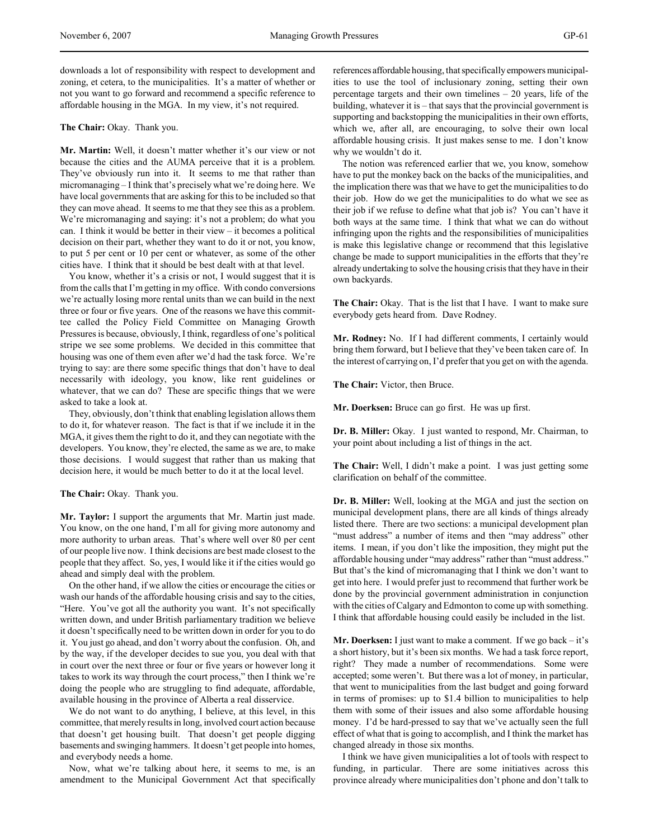downloads a lot of responsibility with respect to development and zoning, et cetera, to the municipalities. It's a matter of whether or not you want to go forward and recommend a specific reference to affordable housing in the MGA. In my view, it's not required.

#### **The Chair:** Okay. Thank you.

**Mr. Martin:** Well, it doesn't matter whether it's our view or not because the cities and the AUMA perceive that it is a problem. They've obviously run into it. It seems to me that rather than micromanaging – I think that's precisely what we're doing here. We have local governments that are asking for this to be included so that they can move ahead. It seems to me that they see this as a problem. We're micromanaging and saying: it's not a problem; do what you can. I think it would be better in their view – it becomes a political decision on their part, whether they want to do it or not, you know, to put 5 per cent or 10 per cent or whatever, as some of the other cities have. I think that it should be best dealt with at that level.

You know, whether it's a crisis or not, I would suggest that it is from the calls that I'm getting in my office. With condo conversions we're actually losing more rental units than we can build in the next three or four or five years. One of the reasons we have this committee called the Policy Field Committee on Managing Growth Pressures is because, obviously, I think, regardless of one's political stripe we see some problems. We decided in this committee that housing was one of them even after we'd had the task force. We're trying to say: are there some specific things that don't have to deal necessarily with ideology, you know, like rent guidelines or whatever, that we can do? These are specific things that we were asked to take a look at.

They, obviously, don't think that enabling legislation allows them to do it, for whatever reason. The fact is that if we include it in the MGA, it gives them the right to do it, and they can negotiate with the developers. You know, they're elected, the same as we are, to make those decisions. I would suggest that rather than us making that decision here, it would be much better to do it at the local level.

**The Chair:** Okay. Thank you.

**Mr. Taylor:** I support the arguments that Mr. Martin just made. You know, on the one hand, I'm all for giving more autonomy and more authority to urban areas. That's where well over 80 per cent of our people live now. I think decisions are best made closest to the people that they affect. So, yes, I would like it if the cities would go ahead and simply deal with the problem.

On the other hand, if we allow the cities or encourage the cities or wash our hands of the affordable housing crisis and say to the cities, "Here. You've got all the authority you want. It's not specifically written down, and under British parliamentary tradition we believe it doesn't specifically need to be written down in order for you to do it. You just go ahead, and don't worry about the confusion. Oh, and by the way, if the developer decides to sue you, you deal with that in court over the next three or four or five years or however long it takes to work its way through the court process," then I think we're doing the people who are struggling to find adequate, affordable, available housing in the province of Alberta a real disservice.

We do not want to do anything, I believe, at this level, in this committee, that merely results in long, involved court action because that doesn't get housing built. That doesn't get people digging basements and swinging hammers. It doesn't get people into homes, and everybody needs a home.

Now, what we're talking about here, it seems to me, is an amendment to the Municipal Government Act that specifically references affordable housing, that specifically empowers municipalities to use the tool of inclusionary zoning, setting their own percentage targets and their own timelines – 20 years, life of the building, whatever it is – that says that the provincial government is supporting and backstopping the municipalities in their own efforts, which we, after all, are encouraging, to solve their own local affordable housing crisis. It just makes sense to me. I don't know why we wouldn't do it.

The notion was referenced earlier that we, you know, somehow have to put the monkey back on the backs of the municipalities, and the implication there was that we have to get the municipalities to do their job. How do we get the municipalities to do what we see as their job if we refuse to define what that job is? You can't have it both ways at the same time. I think that what we can do without infringing upon the rights and the responsibilities of municipalities is make this legislative change or recommend that this legislative change be made to support municipalities in the efforts that they're already undertaking to solve the housing crisis that they have in their own backyards.

**The Chair:** Okay. That is the list that I have. I want to make sure everybody gets heard from. Dave Rodney.

**Mr. Rodney:** No. If I had different comments, I certainly would bring them forward, but I believe that they've been taken care of. In the interest of carrying on, I'd prefer that you get on with the agenda.

**The Chair:** Victor, then Bruce.

**Mr. Doerksen:** Bruce can go first. He was up first.

**Dr. B. Miller:** Okay. I just wanted to respond, Mr. Chairman, to your point about including a list of things in the act.

**The Chair:** Well, I didn't make a point. I was just getting some clarification on behalf of the committee.

**Dr. B. Miller:** Well, looking at the MGA and just the section on municipal development plans, there are all kinds of things already listed there. There are two sections: a municipal development plan "must address" a number of items and then "may address" other items. I mean, if you don't like the imposition, they might put the affordable housing under "may address" rather than "must address." But that's the kind of micromanaging that I think we don't want to get into here. I would prefer just to recommend that further work be done by the provincial government administration in conjunction with the cities of Calgary and Edmonton to come up with something. I think that affordable housing could easily be included in the list.

**Mr. Doerksen:** I just want to make a comment. If we go back – it's a short history, but it's been six months. We had a task force report, right? They made a number of recommendations. Some were accepted; some weren't. But there was a lot of money, in particular, that went to municipalities from the last budget and going forward in terms of promises: up to \$1.4 billion to municipalities to help them with some of their issues and also some affordable housing money. I'd be hard-pressed to say that we've actually seen the full effect of what that is going to accomplish, and I think the market has changed already in those six months.

I think we have given municipalities a lot of tools with respect to funding, in particular. There are some initiatives across this province already where municipalities don't phone and don't talk to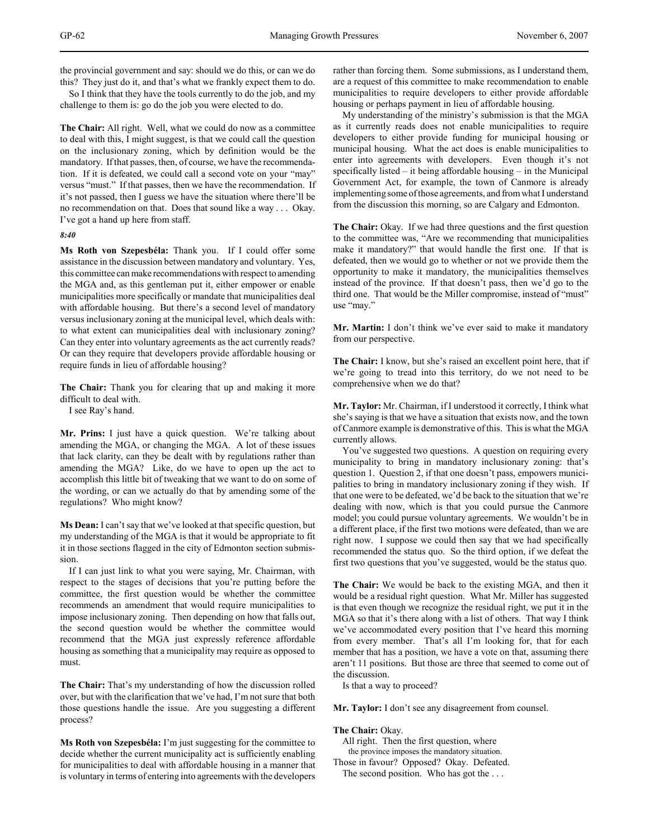the provincial government and say: should we do this, or can we do this? They just do it, and that's what we frankly expect them to do.

So I think that they have the tools currently to do the job, and my challenge to them is: go do the job you were elected to do.

**The Chair:** All right. Well, what we could do now as a committee to deal with this, I might suggest, is that we could call the question on the inclusionary zoning, which by definition would be the mandatory. If that passes, then, of course, we have the recommendation. If it is defeated, we could call a second vote on your "may" versus "must." If that passes, then we have the recommendation. If it's not passed, then I guess we have the situation where there'll be no recommendation on that. Does that sound like a way . . . Okay. I've got a hand up here from staff.

### *8:40*

**Ms Roth von Szepesbéla:** Thank you. If I could offer some assistance in the discussion between mandatory and voluntary. Yes, this committee can make recommendations with respect to amending the MGA and, as this gentleman put it, either empower or enable municipalities more specifically or mandate that municipalities deal with affordable housing. But there's a second level of mandatory versus inclusionary zoning at the municipal level, which deals with: to what extent can municipalities deal with inclusionary zoning? Can they enter into voluntary agreements as the act currently reads? Or can they require that developers provide affordable housing or require funds in lieu of affordable housing?

**The Chair:** Thank you for clearing that up and making it more difficult to deal with.

I see Ray's hand.

**Mr. Prins:** I just have a quick question. We're talking about amending the MGA, or changing the MGA. A lot of these issues that lack clarity, can they be dealt with by regulations rather than amending the MGA? Like, do we have to open up the act to accomplish this little bit of tweaking that we want to do on some of the wording, or can we actually do that by amending some of the regulations? Who might know?

**Ms Dean:** I can't say that we've looked at that specific question, but my understanding of the MGA is that it would be appropriate to fit it in those sections flagged in the city of Edmonton section submission.

If I can just link to what you were saying, Mr. Chairman, with respect to the stages of decisions that you're putting before the committee, the first question would be whether the committee recommends an amendment that would require municipalities to impose inclusionary zoning. Then depending on how that falls out, the second question would be whether the committee would recommend that the MGA just expressly reference affordable housing as something that a municipality may require as opposed to must.

**The Chair:** That's my understanding of how the discussion rolled over, but with the clarification that we've had, I'm not sure that both those questions handle the issue. Are you suggesting a different process?

**Ms Roth von Szepesbéla:** I'm just suggesting for the committee to decide whether the current municipality act is sufficiently enabling for municipalities to deal with affordable housing in a manner that is voluntary in terms of entering into agreements with the developers rather than forcing them. Some submissions, as I understand them, are a request of this committee to make recommendation to enable municipalities to require developers to either provide affordable housing or perhaps payment in lieu of affordable housing.

My understanding of the ministry's submission is that the MGA as it currently reads does not enable municipalities to require developers to either provide funding for municipal housing or municipal housing. What the act does is enable municipalities to enter into agreements with developers. Even though it's not specifically listed – it being affordable housing – in the Municipal Government Act, for example, the town of Canmore is already implementing some of those agreements, and from what I understand from the discussion this morning, so are Calgary and Edmonton.

**The Chair:** Okay. If we had three questions and the first question to the committee was, "Are we recommending that municipalities make it mandatory?" that would handle the first one. If that is defeated, then we would go to whether or not we provide them the opportunity to make it mandatory, the municipalities themselves instead of the province. If that doesn't pass, then we'd go to the third one. That would be the Miller compromise, instead of "must" use "may."

**Mr. Martin:** I don't think we've ever said to make it mandatory from our perspective.

**The Chair:** I know, but she's raised an excellent point here, that if we're going to tread into this territory, do we not need to be comprehensive when we do that?

**Mr. Taylor:** Mr. Chairman, if I understood it correctly, I think what she's saying is that we have a situation that exists now, and the town of Canmore example is demonstrative of this. This is what the MGA currently allows.

You've suggested two questions. A question on requiring every municipality to bring in mandatory inclusionary zoning: that's question 1. Question 2, if that one doesn't pass, empowers municipalities to bring in mandatory inclusionary zoning if they wish. If that one were to be defeated, we'd be back to the situation that we're dealing with now, which is that you could pursue the Canmore model; you could pursue voluntary agreements. We wouldn't be in a different place, if the first two motions were defeated, than we are right now. I suppose we could then say that we had specifically recommended the status quo. So the third option, if we defeat the first two questions that you've suggested, would be the status quo.

**The Chair:** We would be back to the existing MGA, and then it would be a residual right question. What Mr. Miller has suggested is that even though we recognize the residual right, we put it in the MGA so that it's there along with a list of others. That way I think we've accommodated every position that I've heard this morning from every member. That's all I'm looking for, that for each member that has a position, we have a vote on that, assuming there aren't 11 positions. But those are three that seemed to come out of the discussion.

Is that a way to proceed?

**Mr. Taylor:** I don't see any disagreement from counsel.

### **The Chair:** Okay.

All right. Then the first question, where the province imposes the mandatory situation. Those in favour? Opposed? Okay. Defeated.

The second position. Who has got the ...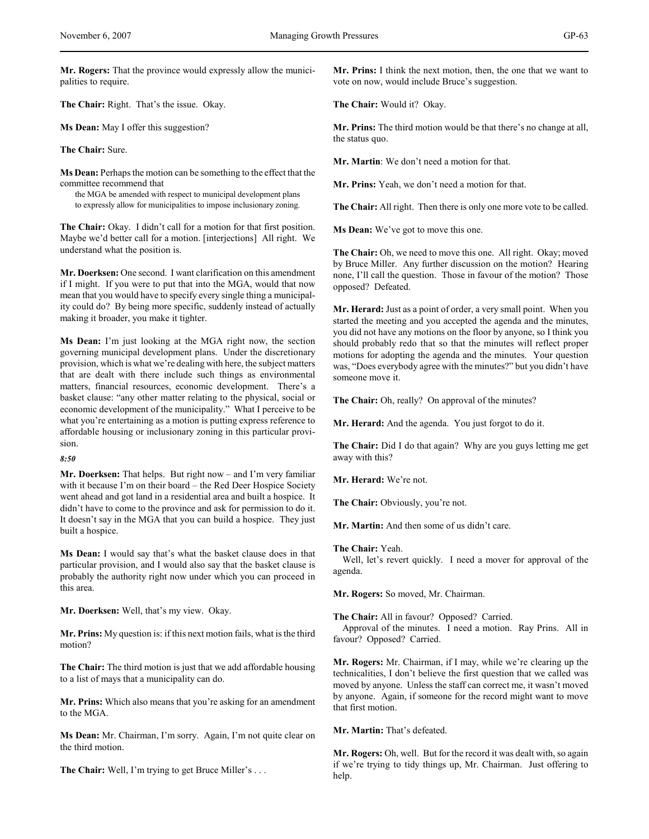**Mr. Rogers:** That the province would expressly allow the municipalities to require.

**The Chair:** Right. That's the issue. Okay.

**Ms Dean:** May I offer this suggestion?

**The Chair:** Sure.

**Ms Dean:** Perhaps the motion can be something to the effect that the committee recommend that

the MGA be amended with respect to municipal development plans to expressly allow for municipalities to impose inclusionary zoning.

**The Chair:** Okay. I didn't call for a motion for that first position. Maybe we'd better call for a motion. [interjections] All right. We understand what the position is.

**Mr. Doerksen:** One second. I want clarification on this amendment if I might. If you were to put that into the MGA, would that now mean that you would have to specify every single thing a municipality could do? By being more specific, suddenly instead of actually making it broader, you make it tighter.

**Ms Dean:** I'm just looking at the MGA right now, the section governing municipal development plans. Under the discretionary provision, which is what we're dealing with here, the subject matters that are dealt with there include such things as environmental matters, financial resources, economic development. There's a basket clause: "any other matter relating to the physical, social or economic development of the municipality." What I perceive to be what you're entertaining as a motion is putting express reference to affordable housing or inclusionary zoning in this particular provision.

*8:50*

**Mr. Doerksen:** That helps. But right now – and I'm very familiar with it because I'm on their board – the Red Deer Hospice Society went ahead and got land in a residential area and built a hospice. It didn't have to come to the province and ask for permission to do it. It doesn't say in the MGA that you can build a hospice. They just built a hospice.

**Ms Dean:** I would say that's what the basket clause does in that particular provision, and I would also say that the basket clause is probably the authority right now under which you can proceed in this area.

**Mr. Doerksen:** Well, that's my view. Okay.

**Mr. Prins:** My question is: if this next motion fails, what is the third motion?

**The Chair:** The third motion is just that we add affordable housing to a list of mays that a municipality can do.

**Mr. Prins:** Which also means that you're asking for an amendment to the MGA.

**Ms Dean:** Mr. Chairman, I'm sorry. Again, I'm not quite clear on the third motion.

**The Chair:** Well, I'm trying to get Bruce Miller's . . .

**Mr. Prins:** I think the next motion, then, the one that we want to vote on now, would include Bruce's suggestion.

**The Chair:** Would it? Okay.

**Mr. Prins:** The third motion would be that there's no change at all, the status quo.

**Mr. Martin**: We don't need a motion for that.

**Mr. Prins:** Yeah, we don't need a motion for that.

**The Chair:** All right. Then there is only one more vote to be called.

**Ms Dean:** We've got to move this one.

**The Chair:** Oh, we need to move this one. All right. Okay; moved by Bruce Miller. Any further discussion on the motion? Hearing none, I'll call the question. Those in favour of the motion? Those opposed? Defeated.

**Mr. Herard:** Just as a point of order, a very small point. When you started the meeting and you accepted the agenda and the minutes, you did not have any motions on the floor by anyone, so I think you should probably redo that so that the minutes will reflect proper motions for adopting the agenda and the minutes. Your question was, "Does everybody agree with the minutes?" but you didn't have someone move it.

**The Chair:** Oh, really? On approval of the minutes?

**Mr. Herard:** And the agenda. You just forgot to do it.

**The Chair:** Did I do that again? Why are you guys letting me get away with this?

**Mr. Herard:** We're not.

**The Chair:** Obviously, you're not.

**Mr. Martin:** And then some of us didn't care.

#### **The Chair:** Yeah.

Well, let's revert quickly. I need a mover for approval of the agenda.

**Mr. Rogers:** So moved, Mr. Chairman.

**The Chair:** All in favour? Opposed? Carried.

Approval of the minutes. I need a motion. Ray Prins. All in favour? Opposed? Carried.

**Mr. Rogers:** Mr. Chairman, if I may, while we're clearing up the technicalities, I don't believe the first question that we called was moved by anyone. Unless the staff can correct me, it wasn't moved by anyone. Again, if someone for the record might want to move that first motion.

**Mr. Martin:** That's defeated.

**Mr. Rogers:** Oh, well. But for the record it was dealt with, so again if we're trying to tidy things up, Mr. Chairman. Just offering to help.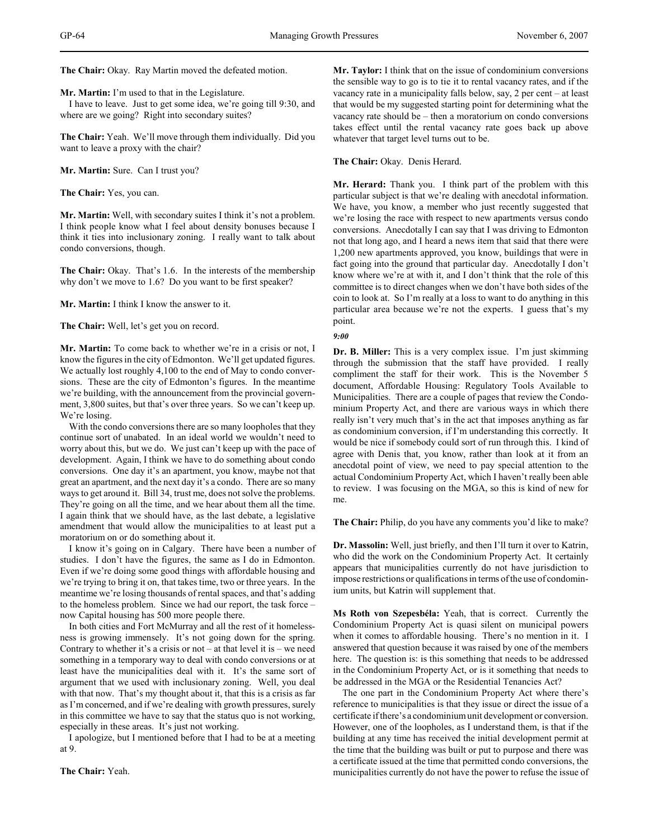**The Chair:** Okay. Ray Martin moved the defeated motion.

**Mr. Martin:** I'm used to that in the Legislature.

I have to leave. Just to get some idea, we're going till 9:30, and where are we going? Right into secondary suites?

**The Chair:** Yeah. We'll move through them individually. Did you want to leave a proxy with the chair?

**Mr. Martin:** Sure. Can I trust you?

**The Chair:** Yes, you can.

**Mr. Martin:** Well, with secondary suites I think it's not a problem. I think people know what I feel about density bonuses because I think it ties into inclusionary zoning. I really want to talk about condo conversions, though.

**The Chair:** Okay. That's 1.6. In the interests of the membership why don't we move to 1.6? Do you want to be first speaker?

**Mr. Martin:** I think I know the answer to it.

**The Chair:** Well, let's get you on record.

**Mr. Martin:** To come back to whether we're in a crisis or not, I know the figures in the city of Edmonton. We'll get updated figures. We actually lost roughly 4,100 to the end of May to condo conversions. These are the city of Edmonton's figures. In the meantime we're building, with the announcement from the provincial government, 3,800 suites, but that's over three years. So we can't keep up. We're losing.

With the condo conversions there are so many loopholes that they continue sort of unabated. In an ideal world we wouldn't need to worry about this, but we do. We just can't keep up with the pace of development. Again, I think we have to do something about condo conversions. One day it's an apartment, you know, maybe not that great an apartment, and the next day it's a condo. There are so many ways to get around it. Bill 34, trust me, does not solve the problems. They're going on all the time, and we hear about them all the time. I again think that we should have, as the last debate, a legislative amendment that would allow the municipalities to at least put a moratorium on or do something about it.

I know it's going on in Calgary. There have been a number of studies. I don't have the figures, the same as I do in Edmonton. Even if we're doing some good things with affordable housing and we're trying to bring it on, that takes time, two or three years. In the meantime we're losing thousands of rental spaces, and that's adding to the homeless problem. Since we had our report, the task force – now Capital housing has 500 more people there.

In both cities and Fort McMurray and all the rest of it homelessness is growing immensely. It's not going down for the spring. Contrary to whether it's a crisis or not – at that level it is – we need something in a temporary way to deal with condo conversions or at least have the municipalities deal with it. It's the same sort of argument that we used with inclusionary zoning. Well, you deal with that now. That's my thought about it, that this is a crisis as far as I'm concerned, and if we're dealing with growth pressures, surely in this committee we have to say that the status quo is not working, especially in these areas. It's just not working.

I apologize, but I mentioned before that I had to be at a meeting at 9.

**The Chair:** Yeah.

**Mr. Taylor:** I think that on the issue of condominium conversions the sensible way to go is to tie it to rental vacancy rates, and if the vacancy rate in a municipality falls below, say, 2 per cent – at least that would be my suggested starting point for determining what the vacancy rate should be – then a moratorium on condo conversions takes effect until the rental vacancy rate goes back up above whatever that target level turns out to be.

**The Chair:** Okay. Denis Herard.

**Mr. Herard:** Thank you. I think part of the problem with this particular subject is that we're dealing with anecdotal information. We have, you know, a member who just recently suggested that we're losing the race with respect to new apartments versus condo conversions. Anecdotally I can say that I was driving to Edmonton not that long ago, and I heard a news item that said that there were 1,200 new apartments approved, you know, buildings that were in fact going into the ground that particular day. Anecdotally I don't know where we're at with it, and I don't think that the role of this committee is to direct changes when we don't have both sides of the coin to look at. So I'm really at a loss to want to do anything in this particular area because we're not the experts. I guess that's my point.

#### *9:00*

**Dr. B. Miller:** This is a very complex issue. I'm just skimming through the submission that the staff have provided. I really compliment the staff for their work. This is the November 5 document, Affordable Housing: Regulatory Tools Available to Municipalities. There are a couple of pages that review the Condominium Property Act, and there are various ways in which there really isn't very much that's in the act that imposes anything as far as condominium conversion, if I'm understanding this correctly. It would be nice if somebody could sort of run through this. I kind of agree with Denis that, you know, rather than look at it from an anecdotal point of view, we need to pay special attention to the actual Condominium Property Act, which I haven't really been able to review. I was focusing on the MGA, so this is kind of new for me.

**The Chair:** Philip, do you have any comments you'd like to make?

**Dr. Massolin:** Well, just briefly, and then I'll turn it over to Katrin, who did the work on the Condominium Property Act. It certainly appears that municipalities currently do not have jurisdiction to impose restrictions or qualifications in terms of the use of condominium units, but Katrin will supplement that.

**Ms Roth von Szepesbéla:** Yeah, that is correct. Currently the Condominium Property Act is quasi silent on municipal powers when it comes to affordable housing. There's no mention in it. I answered that question because it was raised by one of the members here. The question is: is this something that needs to be addressed in the Condominium Property Act, or is it something that needs to be addressed in the MGA or the Residential Tenancies Act?

The one part in the Condominium Property Act where there's reference to municipalities is that they issue or direct the issue of a certificate if there's a condominium unit development or conversion. However, one of the loopholes, as I understand them, is that if the building at any time has received the initial development permit at the time that the building was built or put to purpose and there was a certificate issued at the time that permitted condo conversions, the municipalities currently do not have the power to refuse the issue of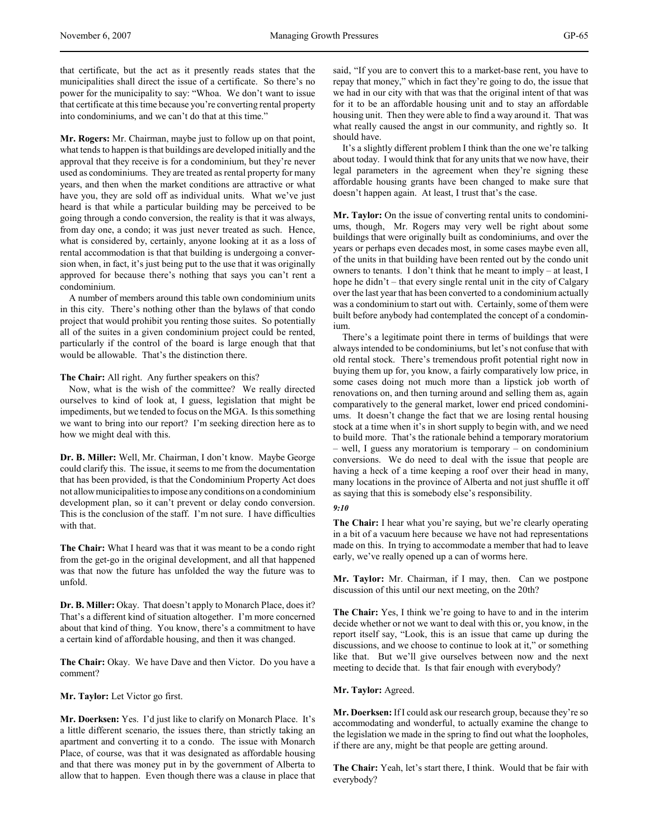that certificate, but the act as it presently reads states that the municipalities shall direct the issue of a certificate. So there's no power for the municipality to say: "Whoa. We don't want to issue that certificate at this time because you're converting rental property into condominiums, and we can't do that at this time."

**Mr. Rogers:** Mr. Chairman, maybe just to follow up on that point, what tends to happen is that buildings are developed initially and the approval that they receive is for a condominium, but they're never used as condominiums. They are treated as rental property for many years, and then when the market conditions are attractive or what have you, they are sold off as individual units. What we've just heard is that while a particular building may be perceived to be going through a condo conversion, the reality is that it was always, from day one, a condo; it was just never treated as such. Hence, what is considered by, certainly, anyone looking at it as a loss of rental accommodation is that that building is undergoing a conversion when, in fact, it's just being put to the use that it was originally approved for because there's nothing that says you can't rent a condominium.

A number of members around this table own condominium units in this city. There's nothing other than the bylaws of that condo project that would prohibit you renting those suites. So potentially all of the suites in a given condominium project could be rented, particularly if the control of the board is large enough that that would be allowable. That's the distinction there.

**The Chair:** All right. Any further speakers on this?

Now, what is the wish of the committee? We really directed ourselves to kind of look at, I guess, legislation that might be impediments, but we tended to focus on the MGA. Is this something we want to bring into our report? I'm seeking direction here as to how we might deal with this.

**Dr. B. Miller:** Well, Mr. Chairman, I don't know. Maybe George could clarify this. The issue, it seems to me from the documentation that has been provided, is that the Condominium Property Act does not allow municipalities to impose any conditions on a condominium development plan, so it can't prevent or delay condo conversion. This is the conclusion of the staff. I'm not sure. I have difficulties with that.

**The Chair:** What I heard was that it was meant to be a condo right from the get-go in the original development, and all that happened was that now the future has unfolded the way the future was to unfold.

**Dr. B. Miller:** Okay. That doesn't apply to Monarch Place, does it? That's a different kind of situation altogether. I'm more concerned about that kind of thing. You know, there's a commitment to have a certain kind of affordable housing, and then it was changed.

**The Chair:** Okay. We have Dave and then Victor. Do you have a comment?

**Mr. Taylor:** Let Victor go first.

**Mr. Doerksen:** Yes. I'd just like to clarify on Monarch Place. It's a little different scenario, the issues there, than strictly taking an apartment and converting it to a condo. The issue with Monarch Place, of course, was that it was designated as affordable housing and that there was money put in by the government of Alberta to allow that to happen. Even though there was a clause in place that

said, "If you are to convert this to a market-base rent, you have to repay that money," which in fact they're going to do, the issue that we had in our city with that was that the original intent of that was for it to be an affordable housing unit and to stay an affordable housing unit. Then they were able to find a way around it. That was what really caused the angst in our community, and rightly so. It should have.

It's a slightly different problem I think than the one we're talking about today. I would think that for any units that we now have, their legal parameters in the agreement when they're signing these affordable housing grants have been changed to make sure that doesn't happen again. At least, I trust that's the case.

**Mr. Taylor:** On the issue of converting rental units to condominiums, though, Mr. Rogers may very well be right about some buildings that were originally built as condominiums, and over the years or perhaps even decades most, in some cases maybe even all, of the units in that building have been rented out by the condo unit owners to tenants. I don't think that he meant to imply – at least, I hope he didn't – that every single rental unit in the city of Calgary over the last year that has been converted to a condominium actually was a condominium to start out with. Certainly, some of them were built before anybody had contemplated the concept of a condominium.

There's a legitimate point there in terms of buildings that were always intended to be condominiums, but let's not confuse that with old rental stock. There's tremendous profit potential right now in buying them up for, you know, a fairly comparatively low price, in some cases doing not much more than a lipstick job worth of renovations on, and then turning around and selling them as, again comparatively to the general market, lower end priced condominiums. It doesn't change the fact that we are losing rental housing stock at a time when it's in short supply to begin with, and we need to build more. That's the rationale behind a temporary moratorium – well, I guess any moratorium is temporary – on condominium conversions. We do need to deal with the issue that people are having a heck of a time keeping a roof over their head in many, many locations in the province of Alberta and not just shuffle it off as saying that this is somebody else's responsibility.

#### *9:10*

**The Chair:** I hear what you're saying, but we're clearly operating in a bit of a vacuum here because we have not had representations made on this. In trying to accommodate a member that had to leave early, we've really opened up a can of worms here.

**Mr. Taylor:** Mr. Chairman, if I may, then. Can we postpone discussion of this until our next meeting, on the 20th?

**The Chair:** Yes, I think we're going to have to and in the interim decide whether or not we want to deal with this or, you know, in the report itself say, "Look, this is an issue that came up during the discussions, and we choose to continue to look at it," or something like that. But we'll give ourselves between now and the next meeting to decide that. Is that fair enough with everybody?

### **Mr. Taylor:** Agreed.

**Mr. Doerksen:** If I could ask our research group, because they're so accommodating and wonderful, to actually examine the change to the legislation we made in the spring to find out what the loopholes, if there are any, might be that people are getting around.

**The Chair:** Yeah, let's start there, I think. Would that be fair with everybody?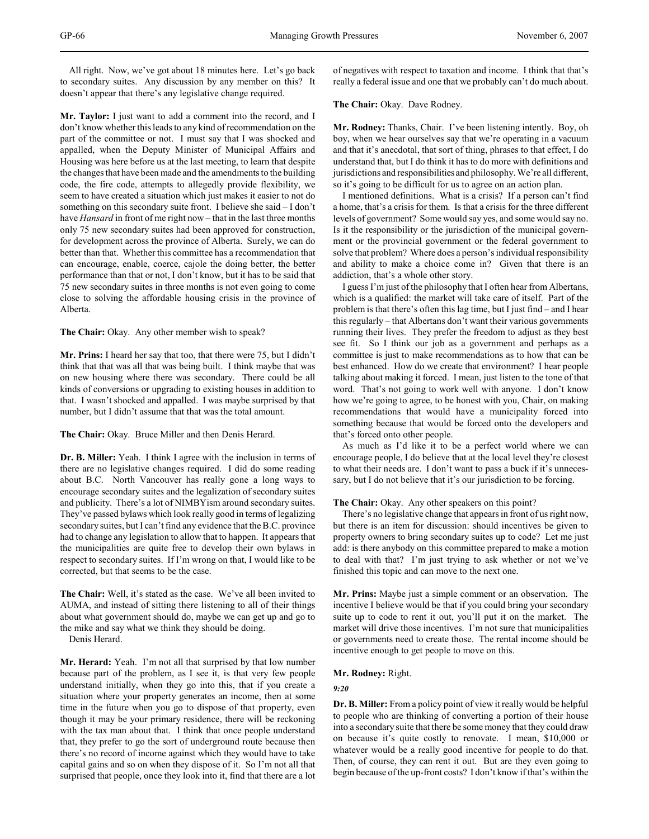All right. Now, we've got about 18 minutes here. Let's go back to secondary suites. Any discussion by any member on this? It doesn't appear that there's any legislative change required.

**Mr. Taylor:** I just want to add a comment into the record, and I don't know whether this leads to any kind of recommendation on the part of the committee or not. I must say that I was shocked and appalled, when the Deputy Minister of Municipal Affairs and Housing was here before us at the last meeting, to learn that despite the changes that have been made and the amendments to the building code, the fire code, attempts to allegedly provide flexibility, we seem to have created a situation which just makes it easier to not do something on this secondary suite front. I believe she said – I don't have *Hansard* in front of me right now – that in the last three months only 75 new secondary suites had been approved for construction, for development across the province of Alberta. Surely, we can do better than that. Whether this committee has a recommendation that can encourage, enable, coerce, cajole the doing better, the better performance than that or not, I don't know, but it has to be said that 75 new secondary suites in three months is not even going to come close to solving the affordable housing crisis in the province of Alberta.

**The Chair:** Okay. Any other member wish to speak?

**Mr. Prins:** I heard her say that too, that there were 75, but I didn't think that that was all that was being built. I think maybe that was on new housing where there was secondary. There could be all kinds of conversions or upgrading to existing houses in addition to that. I wasn't shocked and appalled. I was maybe surprised by that number, but I didn't assume that that was the total amount.

**The Chair:** Okay. Bruce Miller and then Denis Herard.

**Dr. B. Miller:** Yeah. I think I agree with the inclusion in terms of there are no legislative changes required. I did do some reading about B.C. North Vancouver has really gone a long ways to encourage secondary suites and the legalization of secondary suites and publicity. There's a lot of NIMBYism around secondary suites. They've passed bylaws which look really good in terms of legalizing secondary suites, but I can't find any evidence that the B.C. province had to change any legislation to allow that to happen. It appears that the municipalities are quite free to develop their own bylaws in respect to secondary suites. If I'm wrong on that, I would like to be corrected, but that seems to be the case.

**The Chair:** Well, it's stated as the case. We've all been invited to AUMA, and instead of sitting there listening to all of their things about what government should do, maybe we can get up and go to the mike and say what we think they should be doing.

Denis Herard.

**Mr. Herard:** Yeah. I'm not all that surprised by that low number because part of the problem, as I see it, is that very few people understand initially, when they go into this, that if you create a situation where your property generates an income, then at some time in the future when you go to dispose of that property, even though it may be your primary residence, there will be reckoning with the tax man about that. I think that once people understand that, they prefer to go the sort of underground route because then there's no record of income against which they would have to take capital gains and so on when they dispose of it. So I'm not all that surprised that people, once they look into it, find that there are a lot

of negatives with respect to taxation and income. I think that that's really a federal issue and one that we probably can't do much about.

**The Chair:** Okay. Dave Rodney.

**Mr. Rodney:** Thanks, Chair. I've been listening intently. Boy, oh boy, when we hear ourselves say that we're operating in a vacuum and that it's anecdotal, that sort of thing, phrases to that effect, I do understand that, but I do think it has to do more with definitions and jurisdictions and responsibilities and philosophy. We're all different, so it's going to be difficult for us to agree on an action plan.

I mentioned definitions. What is a crisis? If a person can't find a home, that's a crisis for them. Is that a crisis for the three different levels of government? Some would say yes, and some would say no. Is it the responsibility or the jurisdiction of the municipal government or the provincial government or the federal government to solve that problem? Where does a person's individual responsibility and ability to make a choice come in? Given that there is an addiction, that's a whole other story.

I guess I'm just of the philosophy that I often hear from Albertans, which is a qualified: the market will take care of itself. Part of the problem is that there's often this lag time, but I just find – and I hear this regularly – that Albertans don't want their various governments running their lives. They prefer the freedom to adjust as they best see fit. So I think our job as a government and perhaps as a committee is just to make recommendations as to how that can be best enhanced. How do we create that environment? I hear people talking about making it forced. I mean, just listen to the tone of that word. That's not going to work well with anyone. I don't know how we're going to agree, to be honest with you, Chair, on making recommendations that would have a municipality forced into something because that would be forced onto the developers and that's forced onto other people.

As much as I'd like it to be a perfect world where we can encourage people, I do believe that at the local level they're closest to what their needs are. I don't want to pass a buck if it's unnecessary, but I do not believe that it's our jurisdiction to be forcing.

### **The Chair:** Okay. Any other speakers on this point?

There's no legislative change that appears in front of us right now, but there is an item for discussion: should incentives be given to property owners to bring secondary suites up to code? Let me just add: is there anybody on this committee prepared to make a motion to deal with that? I'm just trying to ask whether or not we've finished this topic and can move to the next one.

**Mr. Prins:** Maybe just a simple comment or an observation. The incentive I believe would be that if you could bring your secondary suite up to code to rent it out, you'll put it on the market. The market will drive those incentives. I'm not sure that municipalities or governments need to create those. The rental income should be incentive enough to get people to move on this.

### **Mr. Rodney:** Right.

### *9:20*

**Dr. B. Miller:** From a policy point of view it really would be helpful to people who are thinking of converting a portion of their house into a secondary suite that there be some money that they could draw on because it's quite costly to renovate. I mean, \$10,000 or whatever would be a really good incentive for people to do that. Then, of course, they can rent it out. But are they even going to begin because of the up-front costs? I don't know if that's within the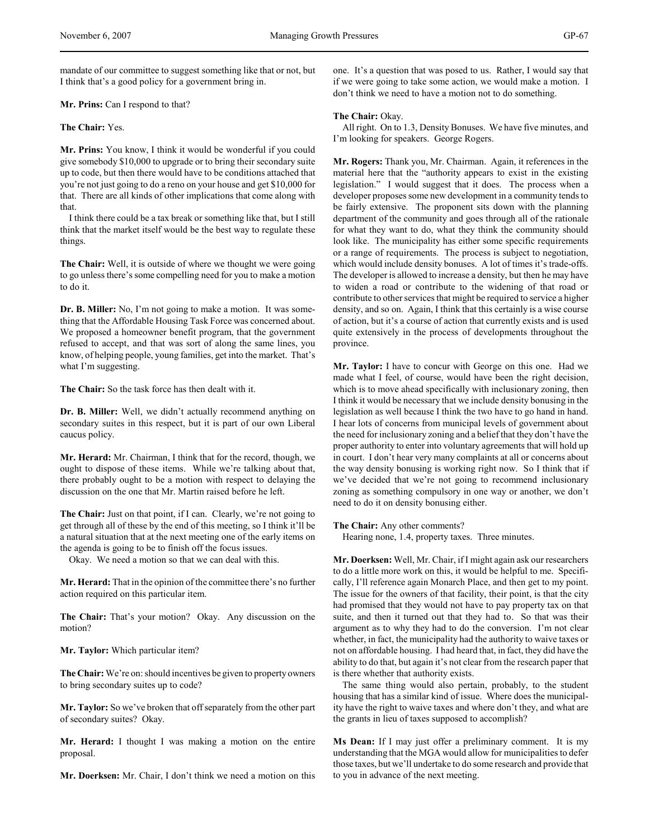mandate of our committee to suggest something like that or not, but I think that's a good policy for a government bring in.

**Mr. Prins:** Can I respond to that?

**The Chair:** Yes.

**Mr. Prins:** You know, I think it would be wonderful if you could give somebody \$10,000 to upgrade or to bring their secondary suite up to code, but then there would have to be conditions attached that you're not just going to do a reno on your house and get \$10,000 for that. There are all kinds of other implications that come along with that.

I think there could be a tax break or something like that, but I still think that the market itself would be the best way to regulate these things.

**The Chair:** Well, it is outside of where we thought we were going to go unless there's some compelling need for you to make a motion to do it.

**Dr. B. Miller:** No, I'm not going to make a motion. It was something that the Affordable Housing Task Force was concerned about. We proposed a homeowner benefit program, that the government refused to accept, and that was sort of along the same lines, you know, of helping people, young families, get into the market. That's what I'm suggesting.

**The Chair:** So the task force has then dealt with it.

**Dr. B. Miller:** Well, we didn't actually recommend anything on secondary suites in this respect, but it is part of our own Liberal caucus policy.

**Mr. Herard:** Mr. Chairman, I think that for the record, though, we ought to dispose of these items. While we're talking about that, there probably ought to be a motion with respect to delaying the discussion on the one that Mr. Martin raised before he left.

**The Chair:** Just on that point, if I can. Clearly, we're not going to get through all of these by the end of this meeting, so I think it'll be a natural situation that at the next meeting one of the early items on the agenda is going to be to finish off the focus issues.

Okay. We need a motion so that we can deal with this.

**Mr. Herard:** That in the opinion of the committee there's no further action required on this particular item.

**The Chair:** That's your motion? Okay. Any discussion on the motion?

**Mr. Taylor:** Which particular item?

**The Chair:** We're on: should incentives be given to property owners to bring secondary suites up to code?

**Mr. Taylor:** So we've broken that off separately from the other part of secondary suites? Okay.

**Mr. Herard:** I thought I was making a motion on the entire proposal.

**Mr. Doerksen:** Mr. Chair, I don't think we need a motion on this

one. It's a question that was posed to us. Rather, I would say that if we were going to take some action, we would make a motion. I don't think we need to have a motion not to do something.

### **The Chair:** Okay.

All right. On to 1.3, Density Bonuses. We have five minutes, and I'm looking for speakers. George Rogers.

**Mr. Rogers:** Thank you, Mr. Chairman. Again, it references in the material here that the "authority appears to exist in the existing legislation." I would suggest that it does. The process when a developer proposes some new development in a community tends to be fairly extensive. The proponent sits down with the planning department of the community and goes through all of the rationale for what they want to do, what they think the community should look like. The municipality has either some specific requirements or a range of requirements. The process is subject to negotiation, which would include density bonuses. A lot of times it's trade-offs. The developer is allowed to increase a density, but then he may have to widen a road or contribute to the widening of that road or contribute to other services that might be required to service a higher density, and so on. Again, I think that this certainly is a wise course of action, but it's a course of action that currently exists and is used quite extensively in the process of developments throughout the province.

**Mr. Taylor:** I have to concur with George on this one. Had we made what I feel, of course, would have been the right decision, which is to move ahead specifically with inclusionary zoning, then I think it would be necessary that we include density bonusing in the legislation as well because I think the two have to go hand in hand. I hear lots of concerns from municipal levels of government about the need for inclusionary zoning and a belief that they don't have the proper authority to enter into voluntary agreements that will hold up in court. I don't hear very many complaints at all or concerns about the way density bonusing is working right now. So I think that if we've decided that we're not going to recommend inclusionary zoning as something compulsory in one way or another, we don't need to do it on density bonusing either.

**The Chair:** Any other comments?

Hearing none, 1.4, property taxes. Three minutes.

**Mr. Doerksen:** Well, Mr. Chair, if I might again ask our researchers to do a little more work on this, it would be helpful to me. Specifically, I'll reference again Monarch Place, and then get to my point. The issue for the owners of that facility, their point, is that the city had promised that they would not have to pay property tax on that suite, and then it turned out that they had to. So that was their argument as to why they had to do the conversion. I'm not clear whether, in fact, the municipality had the authority to waive taxes or not on affordable housing. I had heard that, in fact, they did have the ability to do that, but again it's not clear from the research paper that is there whether that authority exists.

The same thing would also pertain, probably, to the student housing that has a similar kind of issue. Where does the municipality have the right to waive taxes and where don't they, and what are the grants in lieu of taxes supposed to accomplish?

**Ms Dean:** If I may just offer a preliminary comment. It is my understanding that the MGA would allow for municipalities to defer those taxes, but we'll undertake to do some research and provide that to you in advance of the next meeting.